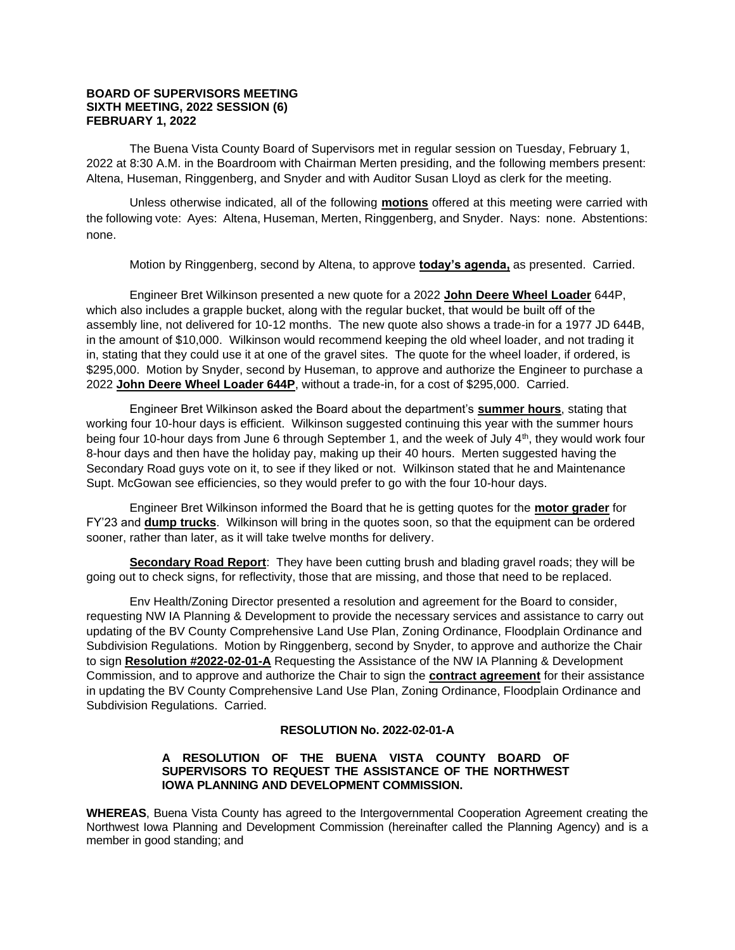#### **BOARD OF SUPERVISORS MEETING SIXTH MEETING, 2022 SESSION (6) FEBRUARY 1, 2022**

The Buena Vista County Board of Supervisors met in regular session on Tuesday, February 1, 2022 at 8:30 A.M. in the Boardroom with Chairman Merten presiding, and the following members present: Altena, Huseman, Ringgenberg, and Snyder and with Auditor Susan Lloyd as clerk for the meeting.

Unless otherwise indicated, all of the following **motions** offered at this meeting were carried with the following vote: Ayes: Altena, Huseman, Merten, Ringgenberg, and Snyder. Nays: none. Abstentions: none.

Motion by Ringgenberg, second by Altena, to approve **today's agenda,** as presented. Carried.

Engineer Bret Wilkinson presented a new quote for a 2022 **John Deere Wheel Loader** 644P, which also includes a grapple bucket, along with the regular bucket, that would be built off of the assembly line, not delivered for 10-12 months. The new quote also shows a trade-in for a 1977 JD 644B, in the amount of \$10,000. Wilkinson would recommend keeping the old wheel loader, and not trading it in, stating that they could use it at one of the gravel sites. The quote for the wheel loader, if ordered, is \$295,000. Motion by Snyder, second by Huseman, to approve and authorize the Engineer to purchase a 2022 **John Deere Wheel Loader 644P**, without a trade-in, for a cost of \$295,000. Carried.

Engineer Bret Wilkinson asked the Board about the department's **summer hours**, stating that working four 10-hour days is efficient. Wilkinson suggested continuing this year with the summer hours being four 10-hour days from June 6 through September 1, and the week of July 4<sup>th</sup>, they would work four 8-hour days and then have the holiday pay, making up their 40 hours. Merten suggested having the Secondary Road guys vote on it, to see if they liked or not. Wilkinson stated that he and Maintenance Supt. McGowan see efficiencies, so they would prefer to go with the four 10-hour days.

Engineer Bret Wilkinson informed the Board that he is getting quotes for the **motor grader** for FY'23 and **dump trucks**. Wilkinson will bring in the quotes soon, so that the equipment can be ordered sooner, rather than later, as it will take twelve months for delivery.

**Secondary Road Report**: They have been cutting brush and blading gravel roads; they will be going out to check signs, for reflectivity, those that are missing, and those that need to be replaced.

Env Health/Zoning Director presented a resolution and agreement for the Board to consider, requesting NW IA Planning & Development to provide the necessary services and assistance to carry out updating of the BV County Comprehensive Land Use Plan, Zoning Ordinance, Floodplain Ordinance and Subdivision Regulations. Motion by Ringgenberg, second by Snyder, to approve and authorize the Chair to sign **Resolution #2022-02-01-A** Requesting the Assistance of the NW IA Planning & Development Commission, and to approve and authorize the Chair to sign the **contract agreement** for their assistance in updating the BV County Comprehensive Land Use Plan, Zoning Ordinance, Floodplain Ordinance and Subdivision Regulations. Carried.

# **RESOLUTION No. 2022-02-01-A**

### **A RESOLUTION OF THE BUENA VISTA COUNTY BOARD OF SUPERVISORS TO REQUEST THE ASSISTANCE OF THE NORTHWEST IOWA PLANNING AND DEVELOPMENT COMMISSION.**

**WHEREAS**, Buena Vista County has agreed to the Intergovernmental Cooperation Agreement creating the Northwest Iowa Planning and Development Commission (hereinafter called the Planning Agency) and is a member in good standing; and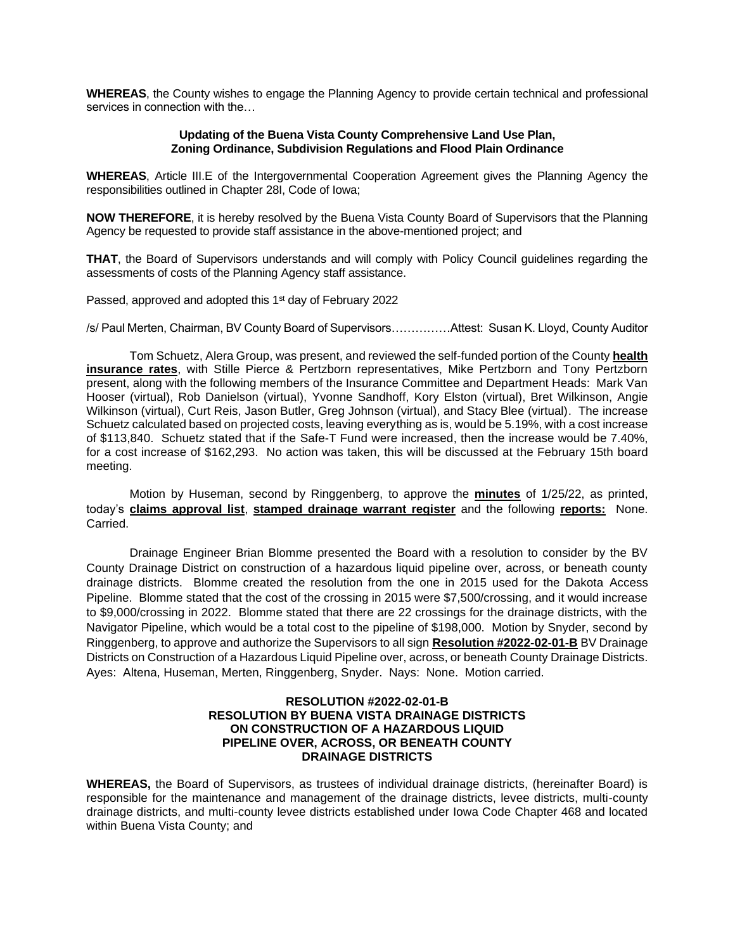**WHEREAS**, the County wishes to engage the Planning Agency to provide certain technical and professional services in connection with the…

#### **Updating of the Buena Vista County Comprehensive Land Use Plan, Zoning Ordinance, Subdivision Regulations and Flood Plain Ordinance**

**WHEREAS**, Article III.E of the Intergovernmental Cooperation Agreement gives the Planning Agency the responsibilities outlined in Chapter 28I, Code of Iowa;

**NOW THEREFORE**, it is hereby resolved by the Buena Vista County Board of Supervisors that the Planning Agency be requested to provide staff assistance in the above-mentioned project; and

**THAT**, the Board of Supervisors understands and will comply with Policy Council guidelines regarding the assessments of costs of the Planning Agency staff assistance.

Passed, approved and adopted this 1<sup>st</sup> day of February 2022

/s/ Paul Merten, Chairman, BV County Board of Supervisors……………Attest: Susan K. Lloyd, County Auditor

Tom Schuetz, Alera Group, was present, and reviewed the self-funded portion of the County **health insurance rates**, with Stille Pierce & Pertzborn representatives, Mike Pertzborn and Tony Pertzborn present, along with the following members of the Insurance Committee and Department Heads: Mark Van Hooser (virtual), Rob Danielson (virtual), Yvonne Sandhoff, Kory Elston (virtual), Bret Wilkinson, Angie Wilkinson (virtual), Curt Reis, Jason Butler, Greg Johnson (virtual), and Stacy Blee (virtual). The increase Schuetz calculated based on projected costs, leaving everything as is, would be 5.19%, with a cost increase of \$113,840. Schuetz stated that if the Safe-T Fund were increased, then the increase would be 7.40%, for a cost increase of \$162,293. No action was taken, this will be discussed at the February 15th board meeting.

Motion by Huseman, second by Ringgenberg, to approve the **minutes** of 1/25/22, as printed, today's **claims approval list**, **stamped drainage warrant register** and the following **reports:** None. Carried.

Drainage Engineer Brian Blomme presented the Board with a resolution to consider by the BV County Drainage District on construction of a hazardous liquid pipeline over, across, or beneath county drainage districts. Blomme created the resolution from the one in 2015 used for the Dakota Access Pipeline. Blomme stated that the cost of the crossing in 2015 were \$7,500/crossing, and it would increase to \$9,000/crossing in 2022. Blomme stated that there are 22 crossings for the drainage districts, with the Navigator Pipeline, which would be a total cost to the pipeline of \$198,000. Motion by Snyder, second by Ringgenberg, to approve and authorize the Supervisors to all sign **Resolution #2022-02-01-B** BV Drainage Districts on Construction of a Hazardous Liquid Pipeline over, across, or beneath County Drainage Districts. Ayes: Altena, Huseman, Merten, Ringgenberg, Snyder. Nays: None. Motion carried.

### **RESOLUTION #2022-02-01-B RESOLUTION BY BUENA VISTA DRAINAGE DISTRICTS ON CONSTRUCTION OF A HAZARDOUS LIQUID PIPELINE OVER, ACROSS, OR BENEATH COUNTY DRAINAGE DISTRICTS**

**WHEREAS,** the Board of Supervisors, as trustees of individual drainage districts, (hereinafter Board) is responsible for the maintenance and management of the drainage districts, levee districts, multi-county drainage districts, and multi-county levee districts established under Iowa Code Chapter 468 and located within Buena Vista County; and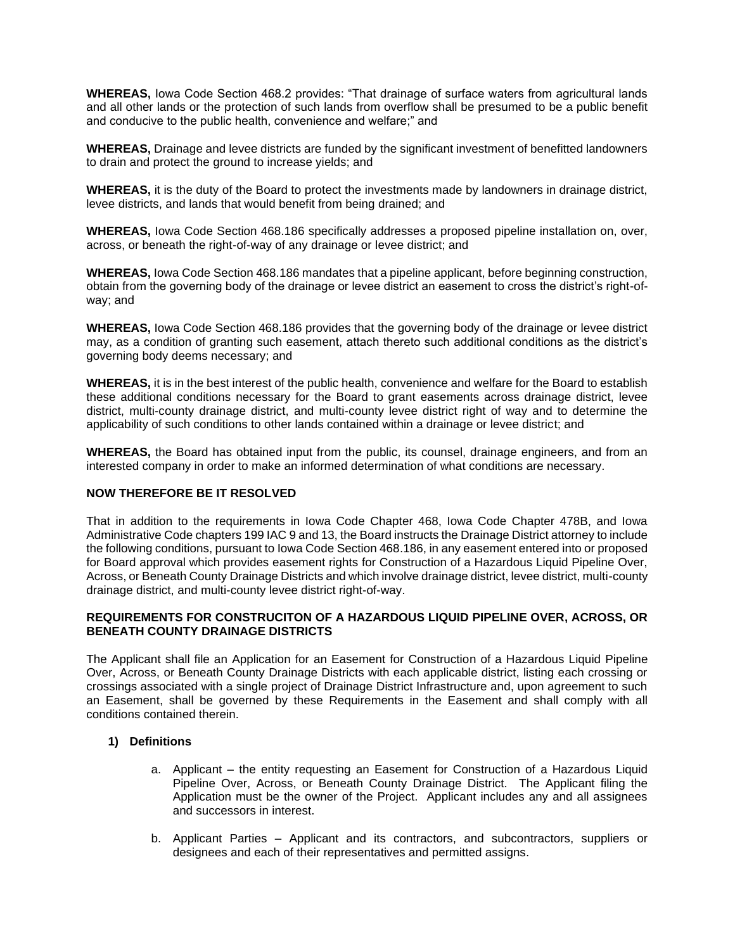**WHEREAS,** Iowa Code Section 468.2 provides: "That drainage of surface waters from agricultural lands and all other lands or the protection of such lands from overflow shall be presumed to be a public benefit and conducive to the public health, convenience and welfare;" and

**WHEREAS,** Drainage and levee districts are funded by the significant investment of benefitted landowners to drain and protect the ground to increase yields; and

**WHEREAS,** it is the duty of the Board to protect the investments made by landowners in drainage district, levee districts, and lands that would benefit from being drained; and

**WHEREAS,** Iowa Code Section 468.186 specifically addresses a proposed pipeline installation on, over, across, or beneath the right-of-way of any drainage or levee district; and

**WHEREAS,** Iowa Code Section 468.186 mandates that a pipeline applicant, before beginning construction, obtain from the governing body of the drainage or levee district an easement to cross the district's right-ofway; and

**WHEREAS,** Iowa Code Section 468.186 provides that the governing body of the drainage or levee district may, as a condition of granting such easement, attach thereto such additional conditions as the district's governing body deems necessary; and

**WHEREAS,** it is in the best interest of the public health, convenience and welfare for the Board to establish these additional conditions necessary for the Board to grant easements across drainage district, levee district, multi-county drainage district, and multi-county levee district right of way and to determine the applicability of such conditions to other lands contained within a drainage or levee district; and

**WHEREAS,** the Board has obtained input from the public, its counsel, drainage engineers, and from an interested company in order to make an informed determination of what conditions are necessary.

### **NOW THEREFORE BE IT RESOLVED**

That in addition to the requirements in Iowa Code Chapter 468, Iowa Code Chapter 478B, and Iowa Administrative Code chapters 199 IAC 9 and 13, the Board instructs the Drainage District attorney to include the following conditions, pursuant to Iowa Code Section 468.186, in any easement entered into or proposed for Board approval which provides easement rights for Construction of a Hazardous Liquid Pipeline Over, Across, or Beneath County Drainage Districts and which involve drainage district, levee district, multi-county drainage district, and multi-county levee district right-of-way.

## **REQUIREMENTS FOR CONSTRUCITON OF A HAZARDOUS LIQUID PIPELINE OVER, ACROSS, OR BENEATH COUNTY DRAINAGE DISTRICTS**

The Applicant shall file an Application for an Easement for Construction of a Hazardous Liquid Pipeline Over, Across, or Beneath County Drainage Districts with each applicable district, listing each crossing or crossings associated with a single project of Drainage District Infrastructure and, upon agreement to such an Easement, shall be governed by these Requirements in the Easement and shall comply with all conditions contained therein.

### **1) Definitions**

- a. Applicant the entity requesting an Easement for Construction of a Hazardous Liquid Pipeline Over, Across, or Beneath County Drainage District. The Applicant filing the Application must be the owner of the Project. Applicant includes any and all assignees and successors in interest.
- b. Applicant Parties Applicant and its contractors, and subcontractors, suppliers or designees and each of their representatives and permitted assigns.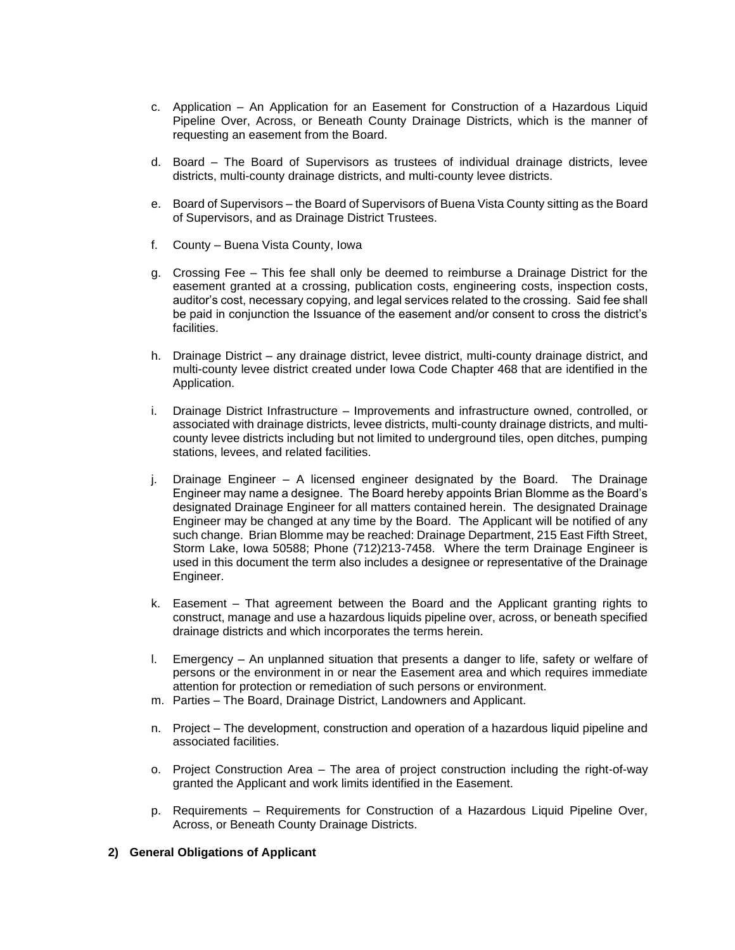- c. Application An Application for an Easement for Construction of a Hazardous Liquid Pipeline Over, Across, or Beneath County Drainage Districts, which is the manner of requesting an easement from the Board.
- d. Board The Board of Supervisors as trustees of individual drainage districts, levee districts, multi-county drainage districts, and multi-county levee districts.
- e. Board of Supervisors the Board of Supervisors of Buena Vista County sitting as the Board of Supervisors, and as Drainage District Trustees.
- f. County Buena Vista County, Iowa
- g. Crossing Fee This fee shall only be deemed to reimburse a Drainage District for the easement granted at a crossing, publication costs, engineering costs, inspection costs, auditor's cost, necessary copying, and legal services related to the crossing. Said fee shall be paid in conjunction the Issuance of the easement and/or consent to cross the district's facilities.
- h. Drainage District any drainage district, levee district, multi-county drainage district, and multi-county levee district created under Iowa Code Chapter 468 that are identified in the Application.
- i. Drainage District Infrastructure Improvements and infrastructure owned, controlled, or associated with drainage districts, levee districts, multi-county drainage districts, and multicounty levee districts including but not limited to underground tiles, open ditches, pumping stations, levees, and related facilities.
- j. Drainage Engineer A licensed engineer designated by the Board. The Drainage Engineer may name a designee. The Board hereby appoints Brian Blomme as the Board's designated Drainage Engineer for all matters contained herein. The designated Drainage Engineer may be changed at any time by the Board. The Applicant will be notified of any such change. Brian Blomme may be reached: Drainage Department, 215 East Fifth Street, Storm Lake, Iowa 50588; Phone (712)213-7458. Where the term Drainage Engineer is used in this document the term also includes a designee or representative of the Drainage Engineer.
- k. Easement That agreement between the Board and the Applicant granting rights to construct, manage and use a hazardous liquids pipeline over, across, or beneath specified drainage districts and which incorporates the terms herein.
- l. Emergency An unplanned situation that presents a danger to life, safety or welfare of persons or the environment in or near the Easement area and which requires immediate attention for protection or remediation of such persons or environment.
- m. Parties The Board, Drainage District, Landowners and Applicant.
- n. Project The development, construction and operation of a hazardous liquid pipeline and associated facilities.
- o. Project Construction Area The area of project construction including the right-of-way granted the Applicant and work limits identified in the Easement.
- p. Requirements Requirements for Construction of a Hazardous Liquid Pipeline Over, Across, or Beneath County Drainage Districts.

#### **2) General Obligations of Applicant**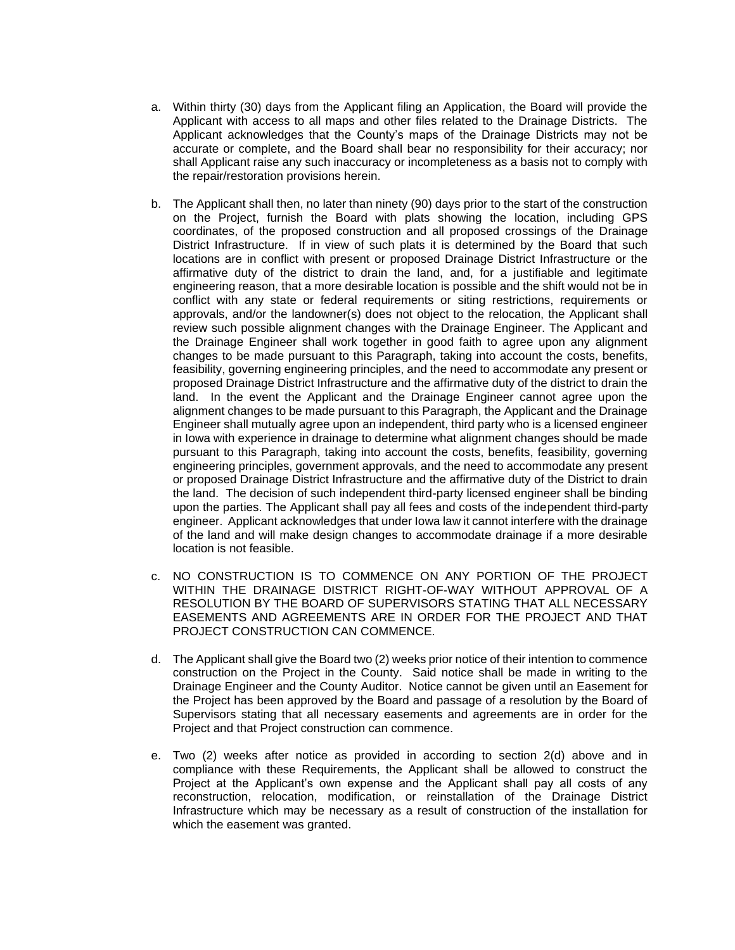- a. Within thirty (30) days from the Applicant filing an Application, the Board will provide the Applicant with access to all maps and other files related to the Drainage Districts. The Applicant acknowledges that the County's maps of the Drainage Districts may not be accurate or complete, and the Board shall bear no responsibility for their accuracy; nor shall Applicant raise any such inaccuracy or incompleteness as a basis not to comply with the repair/restoration provisions herein.
- b. The Applicant shall then, no later than ninety (90) days prior to the start of the construction on the Project, furnish the Board with plats showing the location, including GPS coordinates, of the proposed construction and all proposed crossings of the Drainage District Infrastructure. If in view of such plats it is determined by the Board that such locations are in conflict with present or proposed Drainage District Infrastructure or the affirmative duty of the district to drain the land, and, for a justifiable and legitimate engineering reason, that a more desirable location is possible and the shift would not be in conflict with any state or federal requirements or siting restrictions, requirements or approvals, and/or the landowner(s) does not object to the relocation, the Applicant shall review such possible alignment changes with the Drainage Engineer. The Applicant and the Drainage Engineer shall work together in good faith to agree upon any alignment changes to be made pursuant to this Paragraph, taking into account the costs, benefits, feasibility, governing engineering principles, and the need to accommodate any present or proposed Drainage District Infrastructure and the affirmative duty of the district to drain the land. In the event the Applicant and the Drainage Engineer cannot agree upon the alignment changes to be made pursuant to this Paragraph, the Applicant and the Drainage Engineer shall mutually agree upon an independent, third party who is a licensed engineer in Iowa with experience in drainage to determine what alignment changes should be made pursuant to this Paragraph, taking into account the costs, benefits, feasibility, governing engineering principles, government approvals, and the need to accommodate any present or proposed Drainage District Infrastructure and the affirmative duty of the District to drain the land. The decision of such independent third-party licensed engineer shall be binding upon the parties. The Applicant shall pay all fees and costs of the independent third-party engineer. Applicant acknowledges that under Iowa law it cannot interfere with the drainage of the land and will make design changes to accommodate drainage if a more desirable location is not feasible.
- c. NO CONSTRUCTION IS TO COMMENCE ON ANY PORTION OF THE PROJECT WITHIN THE DRAINAGE DISTRICT RIGHT-OF-WAY WITHOUT APPROVAL OF A RESOLUTION BY THE BOARD OF SUPERVISORS STATING THAT ALL NECESSARY EASEMENTS AND AGREEMENTS ARE IN ORDER FOR THE PROJECT AND THAT PROJECT CONSTRUCTION CAN COMMENCE.
- d. The Applicant shall give the Board two (2) weeks prior notice of their intention to commence construction on the Project in the County. Said notice shall be made in writing to the Drainage Engineer and the County Auditor. Notice cannot be given until an Easement for the Project has been approved by the Board and passage of a resolution by the Board of Supervisors stating that all necessary easements and agreements are in order for the Project and that Project construction can commence.
- e. Two (2) weeks after notice as provided in according to section 2(d) above and in compliance with these Requirements, the Applicant shall be allowed to construct the Project at the Applicant's own expense and the Applicant shall pay all costs of any reconstruction, relocation, modification, or reinstallation of the Drainage District Infrastructure which may be necessary as a result of construction of the installation for which the easement was granted.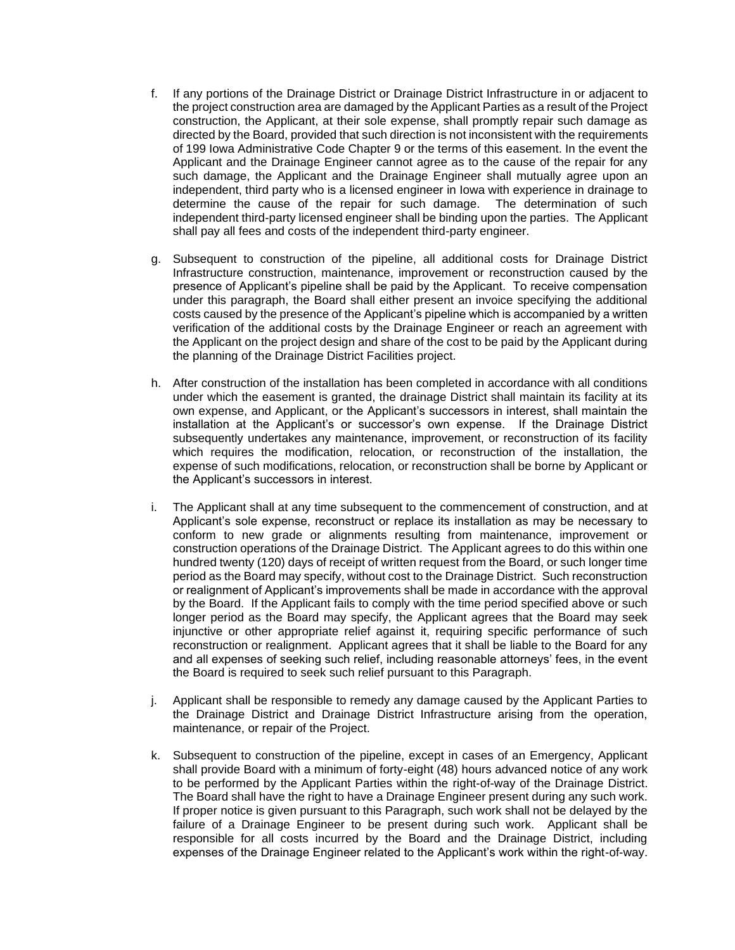- f. If any portions of the Drainage District or Drainage District Infrastructure in or adjacent to the project construction area are damaged by the Applicant Parties as a result of the Project construction, the Applicant, at their sole expense, shall promptly repair such damage as directed by the Board, provided that such direction is not inconsistent with the requirements of 199 Iowa Administrative Code Chapter 9 or the terms of this easement. In the event the Applicant and the Drainage Engineer cannot agree as to the cause of the repair for any such damage, the Applicant and the Drainage Engineer shall mutually agree upon an independent, third party who is a licensed engineer in Iowa with experience in drainage to determine the cause of the repair for such damage. The determination of such independent third-party licensed engineer shall be binding upon the parties. The Applicant shall pay all fees and costs of the independent third-party engineer.
- g. Subsequent to construction of the pipeline, all additional costs for Drainage District Infrastructure construction, maintenance, improvement or reconstruction caused by the presence of Applicant's pipeline shall be paid by the Applicant. To receive compensation under this paragraph, the Board shall either present an invoice specifying the additional costs caused by the presence of the Applicant's pipeline which is accompanied by a written verification of the additional costs by the Drainage Engineer or reach an agreement with the Applicant on the project design and share of the cost to be paid by the Applicant during the planning of the Drainage District Facilities project.
- h. After construction of the installation has been completed in accordance with all conditions under which the easement is granted, the drainage District shall maintain its facility at its own expense, and Applicant, or the Applicant's successors in interest, shall maintain the installation at the Applicant's or successor's own expense. If the Drainage District subsequently undertakes any maintenance, improvement, or reconstruction of its facility which requires the modification, relocation, or reconstruction of the installation, the expense of such modifications, relocation, or reconstruction shall be borne by Applicant or the Applicant's successors in interest.
- i. The Applicant shall at any time subsequent to the commencement of construction, and at Applicant's sole expense, reconstruct or replace its installation as may be necessary to conform to new grade or alignments resulting from maintenance, improvement or construction operations of the Drainage District. The Applicant agrees to do this within one hundred twenty (120) days of receipt of written request from the Board, or such longer time period as the Board may specify, without cost to the Drainage District. Such reconstruction or realignment of Applicant's improvements shall be made in accordance with the approval by the Board. If the Applicant fails to comply with the time period specified above or such longer period as the Board may specify, the Applicant agrees that the Board may seek injunctive or other appropriate relief against it, requiring specific performance of such reconstruction or realignment. Applicant agrees that it shall be liable to the Board for any and all expenses of seeking such relief, including reasonable attorneys' fees, in the event the Board is required to seek such relief pursuant to this Paragraph.
- j. Applicant shall be responsible to remedy any damage caused by the Applicant Parties to the Drainage District and Drainage District Infrastructure arising from the operation, maintenance, or repair of the Project.
- k. Subsequent to construction of the pipeline, except in cases of an Emergency, Applicant shall provide Board with a minimum of forty-eight (48) hours advanced notice of any work to be performed by the Applicant Parties within the right-of-way of the Drainage District. The Board shall have the right to have a Drainage Engineer present during any such work. If proper notice is given pursuant to this Paragraph, such work shall not be delayed by the failure of a Drainage Engineer to be present during such work. Applicant shall be responsible for all costs incurred by the Board and the Drainage District, including expenses of the Drainage Engineer related to the Applicant's work within the right-of-way.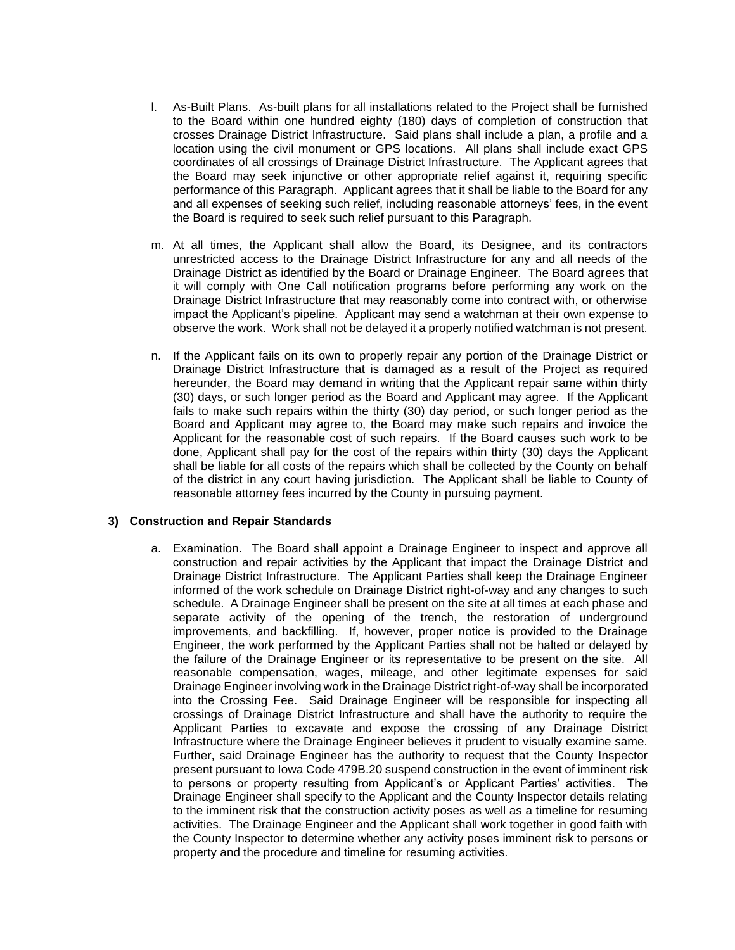- l. As-Built Plans. As-built plans for all installations related to the Project shall be furnished to the Board within one hundred eighty (180) days of completion of construction that crosses Drainage District Infrastructure. Said plans shall include a plan, a profile and a location using the civil monument or GPS locations. All plans shall include exact GPS coordinates of all crossings of Drainage District Infrastructure. The Applicant agrees that the Board may seek injunctive or other appropriate relief against it, requiring specific performance of this Paragraph. Applicant agrees that it shall be liable to the Board for any and all expenses of seeking such relief, including reasonable attorneys' fees, in the event the Board is required to seek such relief pursuant to this Paragraph.
- m. At all times, the Applicant shall allow the Board, its Designee, and its contractors unrestricted access to the Drainage District Infrastructure for any and all needs of the Drainage District as identified by the Board or Drainage Engineer. The Board agrees that it will comply with One Call notification programs before performing any work on the Drainage District Infrastructure that may reasonably come into contract with, or otherwise impact the Applicant's pipeline. Applicant may send a watchman at their own expense to observe the work. Work shall not be delayed it a properly notified watchman is not present.
- n. If the Applicant fails on its own to properly repair any portion of the Drainage District or Drainage District Infrastructure that is damaged as a result of the Project as required hereunder, the Board may demand in writing that the Applicant repair same within thirty (30) days, or such longer period as the Board and Applicant may agree. If the Applicant fails to make such repairs within the thirty (30) day period, or such longer period as the Board and Applicant may agree to, the Board may make such repairs and invoice the Applicant for the reasonable cost of such repairs. If the Board causes such work to be done, Applicant shall pay for the cost of the repairs within thirty (30) days the Applicant shall be liable for all costs of the repairs which shall be collected by the County on behalf of the district in any court having jurisdiction. The Applicant shall be liable to County of reasonable attorney fees incurred by the County in pursuing payment.

### **3) Construction and Repair Standards**

a. Examination. The Board shall appoint a Drainage Engineer to inspect and approve all construction and repair activities by the Applicant that impact the Drainage District and Drainage District Infrastructure. The Applicant Parties shall keep the Drainage Engineer informed of the work schedule on Drainage District right-of-way and any changes to such schedule. A Drainage Engineer shall be present on the site at all times at each phase and separate activity of the opening of the trench, the restoration of underground improvements, and backfilling. If, however, proper notice is provided to the Drainage Engineer, the work performed by the Applicant Parties shall not be halted or delayed by the failure of the Drainage Engineer or its representative to be present on the site. All reasonable compensation, wages, mileage, and other legitimate expenses for said Drainage Engineer involving work in the Drainage District right-of-way shall be incorporated into the Crossing Fee. Said Drainage Engineer will be responsible for inspecting all crossings of Drainage District Infrastructure and shall have the authority to require the Applicant Parties to excavate and expose the crossing of any Drainage District Infrastructure where the Drainage Engineer believes it prudent to visually examine same. Further, said Drainage Engineer has the authority to request that the County Inspector present pursuant to Iowa Code 479B.20 suspend construction in the event of imminent risk to persons or property resulting from Applicant's or Applicant Parties' activities. The Drainage Engineer shall specify to the Applicant and the County Inspector details relating to the imminent risk that the construction activity poses as well as a timeline for resuming activities. The Drainage Engineer and the Applicant shall work together in good faith with the County Inspector to determine whether any activity poses imminent risk to persons or property and the procedure and timeline for resuming activities.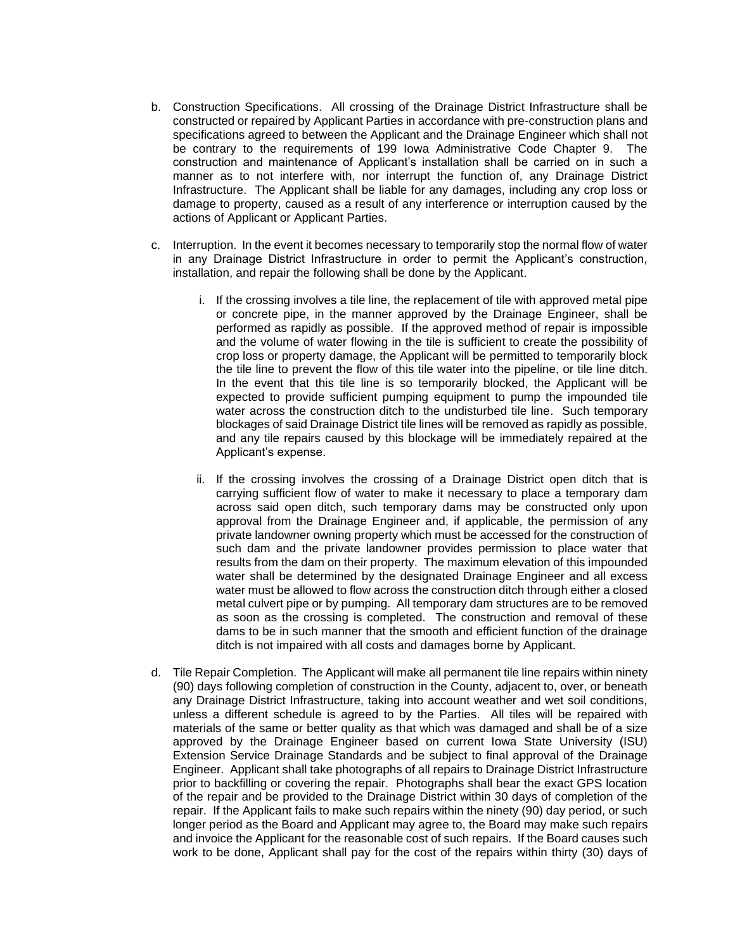- b. Construction Specifications. All crossing of the Drainage District Infrastructure shall be constructed or repaired by Applicant Parties in accordance with pre-construction plans and specifications agreed to between the Applicant and the Drainage Engineer which shall not be contrary to the requirements of 199 Iowa Administrative Code Chapter 9. The construction and maintenance of Applicant's installation shall be carried on in such a manner as to not interfere with, nor interrupt the function of, any Drainage District Infrastructure. The Applicant shall be liable for any damages, including any crop loss or damage to property, caused as a result of any interference or interruption caused by the actions of Applicant or Applicant Parties.
- c. Interruption. In the event it becomes necessary to temporarily stop the normal flow of water in any Drainage District Infrastructure in order to permit the Applicant's construction, installation, and repair the following shall be done by the Applicant.
	- i. If the crossing involves a tile line, the replacement of tile with approved metal pipe or concrete pipe, in the manner approved by the Drainage Engineer, shall be performed as rapidly as possible. If the approved method of repair is impossible and the volume of water flowing in the tile is sufficient to create the possibility of crop loss or property damage, the Applicant will be permitted to temporarily block the tile line to prevent the flow of this tile water into the pipeline, or tile line ditch. In the event that this tile line is so temporarily blocked, the Applicant will be expected to provide sufficient pumping equipment to pump the impounded tile water across the construction ditch to the undisturbed tile line. Such temporary blockages of said Drainage District tile lines will be removed as rapidly as possible, and any tile repairs caused by this blockage will be immediately repaired at the Applicant's expense.
	- ii. If the crossing involves the crossing of a Drainage District open ditch that is carrying sufficient flow of water to make it necessary to place a temporary dam across said open ditch, such temporary dams may be constructed only upon approval from the Drainage Engineer and, if applicable, the permission of any private landowner owning property which must be accessed for the construction of such dam and the private landowner provides permission to place water that results from the dam on their property. The maximum elevation of this impounded water shall be determined by the designated Drainage Engineer and all excess water must be allowed to flow across the construction ditch through either a closed metal culvert pipe or by pumping. All temporary dam structures are to be removed as soon as the crossing is completed. The construction and removal of these dams to be in such manner that the smooth and efficient function of the drainage ditch is not impaired with all costs and damages borne by Applicant.
- d. Tile Repair Completion. The Applicant will make all permanent tile line repairs within ninety (90) days following completion of construction in the County, adjacent to, over, or beneath any Drainage District Infrastructure, taking into account weather and wet soil conditions, unless a different schedule is agreed to by the Parties. All tiles will be repaired with materials of the same or better quality as that which was damaged and shall be of a size approved by the Drainage Engineer based on current Iowa State University (ISU) Extension Service Drainage Standards and be subject to final approval of the Drainage Engineer. Applicant shall take photographs of all repairs to Drainage District Infrastructure prior to backfilling or covering the repair. Photographs shall bear the exact GPS location of the repair and be provided to the Drainage District within 30 days of completion of the repair. If the Applicant fails to make such repairs within the ninety (90) day period, or such longer period as the Board and Applicant may agree to, the Board may make such repairs and invoice the Applicant for the reasonable cost of such repairs. If the Board causes such work to be done, Applicant shall pay for the cost of the repairs within thirty (30) days of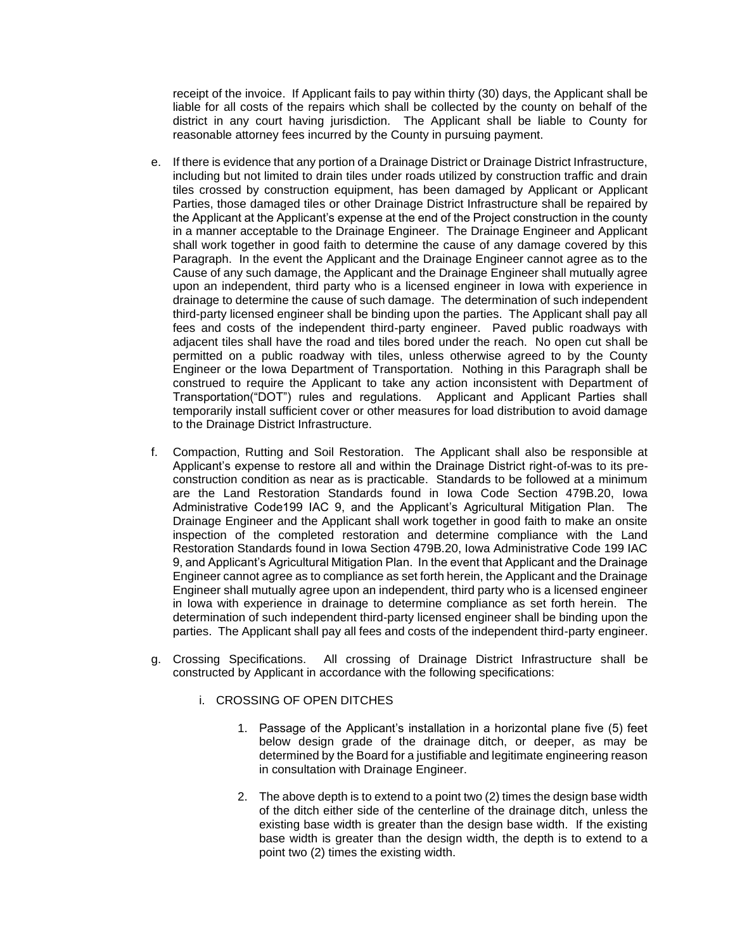receipt of the invoice. If Applicant fails to pay within thirty (30) days, the Applicant shall be liable for all costs of the repairs which shall be collected by the county on behalf of the district in any court having jurisdiction. The Applicant shall be liable to County for reasonable attorney fees incurred by the County in pursuing payment.

- e. If there is evidence that any portion of a Drainage District or Drainage District Infrastructure, including but not limited to drain tiles under roads utilized by construction traffic and drain tiles crossed by construction equipment, has been damaged by Applicant or Applicant Parties, those damaged tiles or other Drainage District Infrastructure shall be repaired by the Applicant at the Applicant's expense at the end of the Project construction in the county in a manner acceptable to the Drainage Engineer. The Drainage Engineer and Applicant shall work together in good faith to determine the cause of any damage covered by this Paragraph. In the event the Applicant and the Drainage Engineer cannot agree as to the Cause of any such damage, the Applicant and the Drainage Engineer shall mutually agree upon an independent, third party who is a licensed engineer in Iowa with experience in drainage to determine the cause of such damage. The determination of such independent third-party licensed engineer shall be binding upon the parties. The Applicant shall pay all fees and costs of the independent third-party engineer. Paved public roadways with adjacent tiles shall have the road and tiles bored under the reach. No open cut shall be permitted on a public roadway with tiles, unless otherwise agreed to by the County Engineer or the Iowa Department of Transportation. Nothing in this Paragraph shall be construed to require the Applicant to take any action inconsistent with Department of Transportation("DOT") rules and regulations. Applicant and Applicant Parties shall temporarily install sufficient cover or other measures for load distribution to avoid damage to the Drainage District Infrastructure.
- f. Compaction, Rutting and Soil Restoration. The Applicant shall also be responsible at Applicant's expense to restore all and within the Drainage District right-of-was to its preconstruction condition as near as is practicable. Standards to be followed at a minimum are the Land Restoration Standards found in Iowa Code Section 479B.20, Iowa Administrative Code199 IAC 9, and the Applicant's Agricultural Mitigation Plan. The Drainage Engineer and the Applicant shall work together in good faith to make an onsite inspection of the completed restoration and determine compliance with the Land Restoration Standards found in Iowa Section 479B.20, Iowa Administrative Code 199 IAC 9, and Applicant's Agricultural Mitigation Plan. In the event that Applicant and the Drainage Engineer cannot agree as to compliance as set forth herein, the Applicant and the Drainage Engineer shall mutually agree upon an independent, third party who is a licensed engineer in Iowa with experience in drainage to determine compliance as set forth herein. The determination of such independent third-party licensed engineer shall be binding upon the parties. The Applicant shall pay all fees and costs of the independent third-party engineer.
- g. Crossing Specifications. All crossing of Drainage District Infrastructure shall be constructed by Applicant in accordance with the following specifications:
	- i. CROSSING OF OPEN DITCHES
		- 1. Passage of the Applicant's installation in a horizontal plane five (5) feet below design grade of the drainage ditch, or deeper, as may be determined by the Board for a justifiable and legitimate engineering reason in consultation with Drainage Engineer.
		- 2. The above depth is to extend to a point two (2) times the design base width of the ditch either side of the centerline of the drainage ditch, unless the existing base width is greater than the design base width. If the existing base width is greater than the design width, the depth is to extend to a point two (2) times the existing width.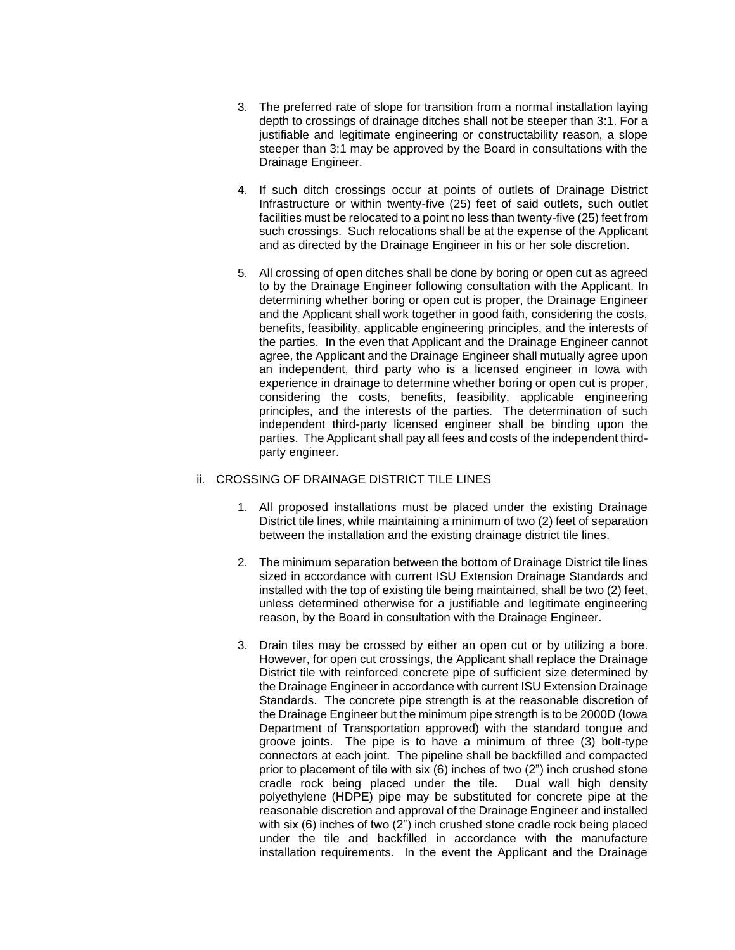- 3. The preferred rate of slope for transition from a normal installation laying depth to crossings of drainage ditches shall not be steeper than 3:1. For a justifiable and legitimate engineering or constructability reason, a slope steeper than 3:1 may be approved by the Board in consultations with the Drainage Engineer.
- 4. If such ditch crossings occur at points of outlets of Drainage District Infrastructure or within twenty-five (25) feet of said outlets, such outlet facilities must be relocated to a point no less than twenty-five (25) feet from such crossings. Such relocations shall be at the expense of the Applicant and as directed by the Drainage Engineer in his or her sole discretion.
- 5. All crossing of open ditches shall be done by boring or open cut as agreed to by the Drainage Engineer following consultation with the Applicant. In determining whether boring or open cut is proper, the Drainage Engineer and the Applicant shall work together in good faith, considering the costs, benefits, feasibility, applicable engineering principles, and the interests of the parties. In the even that Applicant and the Drainage Engineer cannot agree, the Applicant and the Drainage Engineer shall mutually agree upon an independent, third party who is a licensed engineer in Iowa with experience in drainage to determine whether boring or open cut is proper, considering the costs, benefits, feasibility, applicable engineering principles, and the interests of the parties. The determination of such independent third-party licensed engineer shall be binding upon the parties. The Applicant shall pay all fees and costs of the independent thirdparty engineer.

#### ii. CROSSING OF DRAINAGE DISTRICT TILE LINES

- 1. All proposed installations must be placed under the existing Drainage District tile lines, while maintaining a minimum of two (2) feet of separation between the installation and the existing drainage district tile lines.
- 2. The minimum separation between the bottom of Drainage District tile lines sized in accordance with current ISU Extension Drainage Standards and installed with the top of existing tile being maintained, shall be two (2) feet, unless determined otherwise for a justifiable and legitimate engineering reason, by the Board in consultation with the Drainage Engineer.
- 3. Drain tiles may be crossed by either an open cut or by utilizing a bore. However, for open cut crossings, the Applicant shall replace the Drainage District tile with reinforced concrete pipe of sufficient size determined by the Drainage Engineer in accordance with current ISU Extension Drainage Standards. The concrete pipe strength is at the reasonable discretion of the Drainage Engineer but the minimum pipe strength is to be 2000D (Iowa Department of Transportation approved) with the standard tongue and groove joints. The pipe is to have a minimum of three (3) bolt-type connectors at each joint. The pipeline shall be backfilled and compacted prior to placement of tile with six (6) inches of two (2") inch crushed stone cradle rock being placed under the tile. Dual wall high density polyethylene (HDPE) pipe may be substituted for concrete pipe at the reasonable discretion and approval of the Drainage Engineer and installed with six (6) inches of two (2") inch crushed stone cradle rock being placed under the tile and backfilled in accordance with the manufacture installation requirements. In the event the Applicant and the Drainage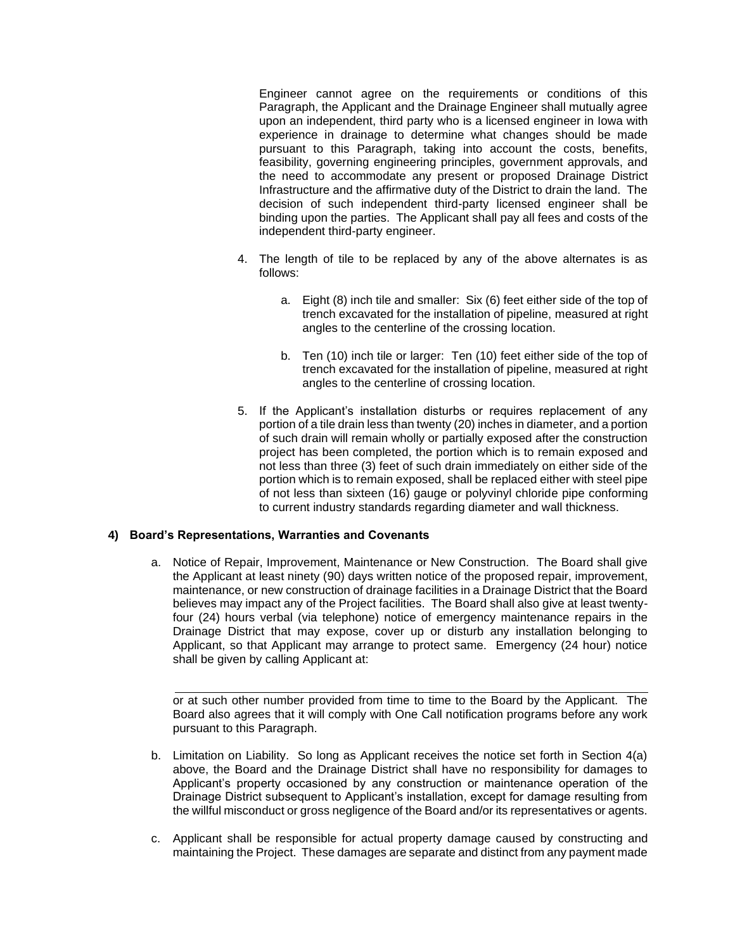Engineer cannot agree on the requirements or conditions of this Paragraph, the Applicant and the Drainage Engineer shall mutually agree upon an independent, third party who is a licensed engineer in Iowa with experience in drainage to determine what changes should be made pursuant to this Paragraph, taking into account the costs, benefits, feasibility, governing engineering principles, government approvals, and the need to accommodate any present or proposed Drainage District Infrastructure and the affirmative duty of the District to drain the land. The decision of such independent third-party licensed engineer shall be binding upon the parties. The Applicant shall pay all fees and costs of the independent third-party engineer.

- 4. The length of tile to be replaced by any of the above alternates is as follows:
	- a. Eight (8) inch tile and smaller: Six (6) feet either side of the top of trench excavated for the installation of pipeline, measured at right angles to the centerline of the crossing location.
	- b. Ten (10) inch tile or larger: Ten (10) feet either side of the top of trench excavated for the installation of pipeline, measured at right angles to the centerline of crossing location.
- 5. If the Applicant's installation disturbs or requires replacement of any portion of a tile drain less than twenty (20) inches in diameter, and a portion of such drain will remain wholly or partially exposed after the construction project has been completed, the portion which is to remain exposed and not less than three (3) feet of such drain immediately on either side of the portion which is to remain exposed, shall be replaced either with steel pipe of not less than sixteen (16) gauge or polyvinyl chloride pipe conforming to current industry standards regarding diameter and wall thickness.

# **4) Board's Representations, Warranties and Covenants**

a. Notice of Repair, Improvement, Maintenance or New Construction. The Board shall give the Applicant at least ninety (90) days written notice of the proposed repair, improvement, maintenance, or new construction of drainage facilities in a Drainage District that the Board believes may impact any of the Project facilities. The Board shall also give at least twentyfour (24) hours verbal (via telephone) notice of emergency maintenance repairs in the Drainage District that may expose, cover up or disturb any installation belonging to Applicant, so that Applicant may arrange to protect same. Emergency (24 hour) notice shall be given by calling Applicant at:

or at such other number provided from time to time to the Board by the Applicant. The Board also agrees that it will comply with One Call notification programs before any work pursuant to this Paragraph.

- b. Limitation on Liability. So long as Applicant receives the notice set forth in Section 4(a) above, the Board and the Drainage District shall have no responsibility for damages to Applicant's property occasioned by any construction or maintenance operation of the Drainage District subsequent to Applicant's installation, except for damage resulting from the willful misconduct or gross negligence of the Board and/or its representatives or agents.
- c. Applicant shall be responsible for actual property damage caused by constructing and maintaining the Project. These damages are separate and distinct from any payment made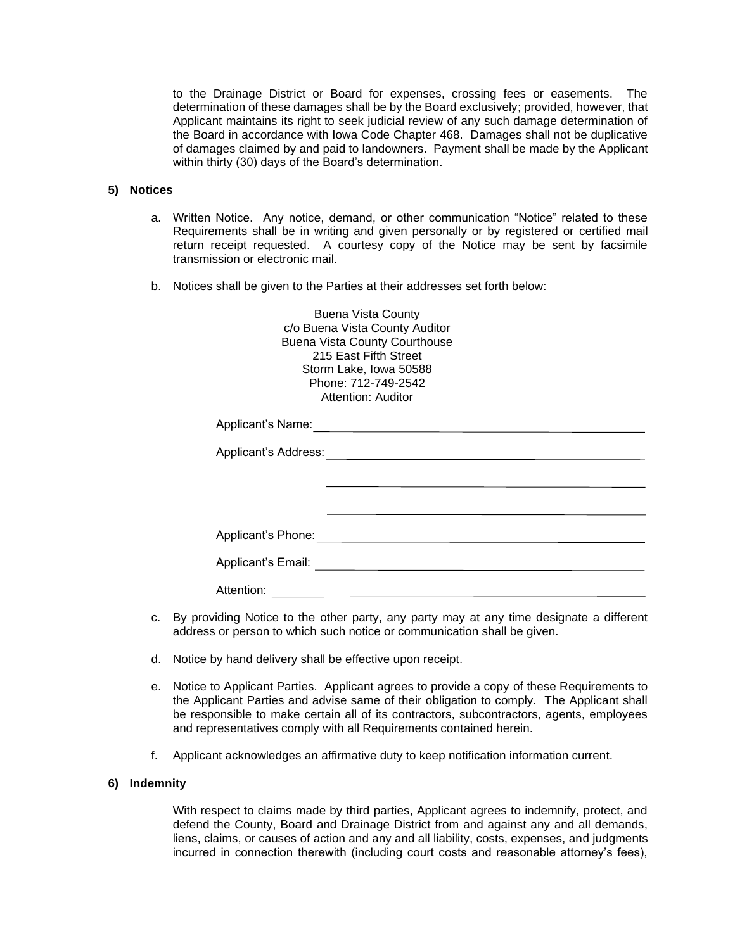to the Drainage District or Board for expenses, crossing fees or easements. The determination of these damages shall be by the Board exclusively; provided, however, that Applicant maintains its right to seek judicial review of any such damage determination of the Board in accordance with Iowa Code Chapter 468. Damages shall not be duplicative of damages claimed by and paid to landowners. Payment shall be made by the Applicant within thirty (30) days of the Board's determination.

### **5) Notices**

- a. Written Notice. Any notice, demand, or other communication "Notice" related to these Requirements shall be in writing and given personally or by registered or certified mail return receipt requested. A courtesy copy of the Notice may be sent by facsimile transmission or electronic mail.
- b. Notices shall be given to the Parties at their addresses set forth below:

Buena Vista County c/o Buena Vista County Auditor Buena Vista County Courthouse 215 East Fifth Street Storm Lake, Iowa 50588 Phone: 712-749-2542 Attention: Auditor

| Applicant's Name:    |  |
|----------------------|--|
| Applicant's Address: |  |
|                      |  |
|                      |  |
| Applicant's Phone:   |  |
| Applicant's Email:   |  |
| Attention:           |  |

- c. By providing Notice to the other party, any party may at any time designate a different address or person to which such notice or communication shall be given.
- d. Notice by hand delivery shall be effective upon receipt.
- e. Notice to Applicant Parties. Applicant agrees to provide a copy of these Requirements to the Applicant Parties and advise same of their obligation to comply. The Applicant shall be responsible to make certain all of its contractors, subcontractors, agents, employees and representatives comply with all Requirements contained herein.
- f. Applicant acknowledges an affirmative duty to keep notification information current.

#### **6) Indemnity**

With respect to claims made by third parties, Applicant agrees to indemnify, protect, and defend the County, Board and Drainage District from and against any and all demands, liens, claims, or causes of action and any and all liability, costs, expenses, and judgments incurred in connection therewith (including court costs and reasonable attorney's fees),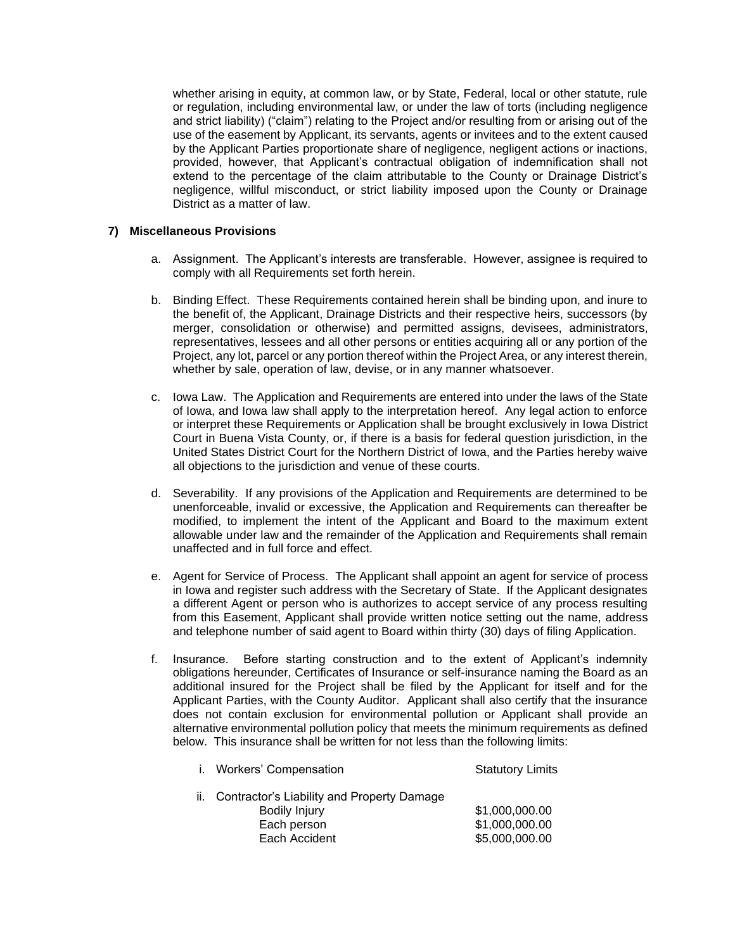whether arising in equity, at common law, or by State, Federal, local or other statute, rule or regulation, including environmental law, or under the law of torts (including negligence and strict liability) ("claim") relating to the Project and/or resulting from or arising out of the use of the easement by Applicant, its servants, agents or invitees and to the extent caused by the Applicant Parties proportionate share of negligence, negligent actions or inactions, provided, however, that Applicant's contractual obligation of indemnification shall not extend to the percentage of the claim attributable to the County or Drainage District's negligence, willful misconduct, or strict liability imposed upon the County or Drainage District as a matter of law.

## **7) Miscellaneous Provisions**

- a. Assignment. The Applicant's interests are transferable. However, assignee is required to comply with all Requirements set forth herein.
- b. Binding Effect. These Requirements contained herein shall be binding upon, and inure to the benefit of, the Applicant, Drainage Districts and their respective heirs, successors (by merger, consolidation or otherwise) and permitted assigns, devisees, administrators, representatives, lessees and all other persons or entities acquiring all or any portion of the Project, any lot, parcel or any portion thereof within the Project Area, or any interest therein, whether by sale, operation of law, devise, or in any manner whatsoever.
- c. Iowa Law. The Application and Requirements are entered into under the laws of the State of Iowa, and Iowa law shall apply to the interpretation hereof. Any legal action to enforce or interpret these Requirements or Application shall be brought exclusively in Iowa District Court in Buena Vista County, or, if there is a basis for federal question jurisdiction, in the United States District Court for the Northern District of Iowa, and the Parties hereby waive all objections to the jurisdiction and venue of these courts.
- d. Severability. If any provisions of the Application and Requirements are determined to be unenforceable, invalid or excessive, the Application and Requirements can thereafter be modified, to implement the intent of the Applicant and Board to the maximum extent allowable under law and the remainder of the Application and Requirements shall remain unaffected and in full force and effect.
- e. Agent for Service of Process. The Applicant shall appoint an agent for service of process in Iowa and register such address with the Secretary of State. If the Applicant designates a different Agent or person who is authorizes to accept service of any process resulting from this Easement, Applicant shall provide written notice setting out the name, address and telephone number of said agent to Board within thirty (30) days of filing Application.
- f. Insurance. Before starting construction and to the extent of Applicant's indemnity obligations hereunder, Certificates of Insurance or self-insurance naming the Board as an additional insured for the Project shall be filed by the Applicant for itself and for the Applicant Parties, with the County Auditor. Applicant shall also certify that the insurance does not contain exclusion for environmental pollution or Applicant shall provide an alternative environmental pollution policy that meets the minimum requirements as defined below. This insurance shall be written for not less than the following limits:

| i. Workers' Compensation                       | <b>Statutory Limits</b> |
|------------------------------------------------|-------------------------|
| ii. Contractor's Liability and Property Damage |                         |
| Bodily Injury                                  | \$1,000,000.00          |
| Each person                                    | \$1,000,000.00          |
| Each Accident                                  | \$5,000,000.00          |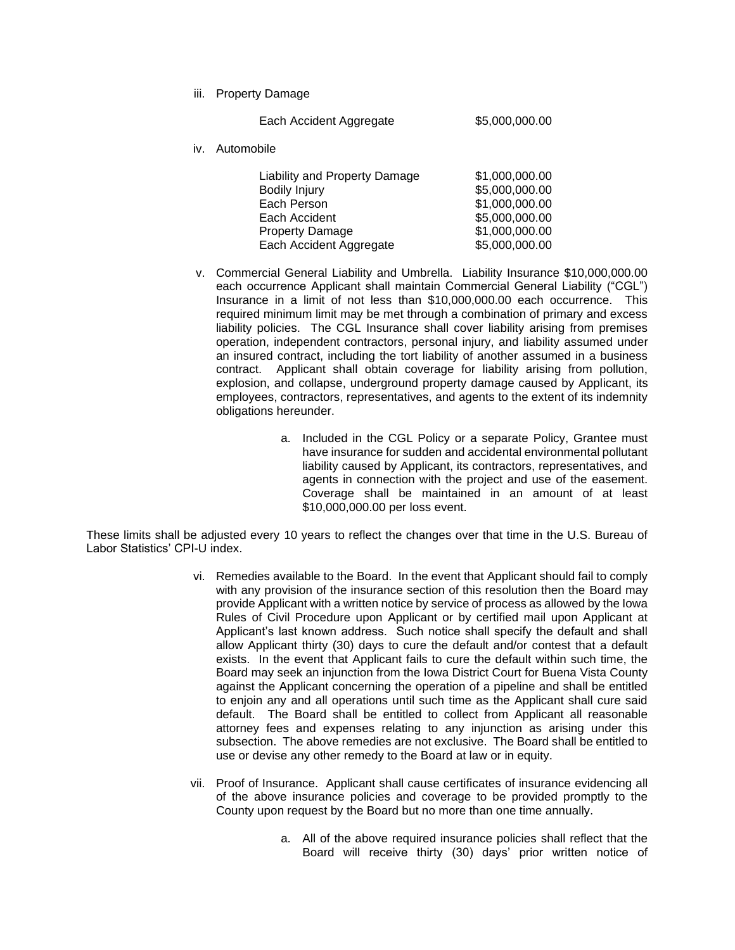iii. Property Damage

|     | Each Accident Aggregate                                                                                                                    | \$5,000,000.00                                                                                           |
|-----|--------------------------------------------------------------------------------------------------------------------------------------------|----------------------------------------------------------------------------------------------------------|
| iv. | Automobile                                                                                                                                 |                                                                                                          |
|     | Liability and Property Damage<br><b>Bodily Injury</b><br>Each Person<br>Each Accident<br><b>Property Damage</b><br>Each Accident Aggregate | \$1,000,000.00<br>\$5,000,000.00<br>\$1,000,000.00<br>\$5,000,000.00<br>\$1,000,000.00<br>\$5,000,000.00 |

- v. Commercial General Liability and Umbrella. Liability Insurance \$10,000,000.00 each occurrence Applicant shall maintain Commercial General Liability ("CGL") Insurance in a limit of not less than \$10,000,000.00 each occurrence. This required minimum limit may be met through a combination of primary and excess liability policies. The CGL Insurance shall cover liability arising from premises operation, independent contractors, personal injury, and liability assumed under an insured contract, including the tort liability of another assumed in a business contract. Applicant shall obtain coverage for liability arising from pollution, explosion, and collapse, underground property damage caused by Applicant, its employees, contractors, representatives, and agents to the extent of its indemnity obligations hereunder.
	- a. Included in the CGL Policy or a separate Policy, Grantee must have insurance for sudden and accidental environmental pollutant liability caused by Applicant, its contractors, representatives, and agents in connection with the project and use of the easement. Coverage shall be maintained in an amount of at least \$10,000,000.00 per loss event.

These limits shall be adjusted every 10 years to reflect the changes over that time in the U.S. Bureau of Labor Statistics' CPI-U index.

- vi. Remedies available to the Board. In the event that Applicant should fail to comply with any provision of the insurance section of this resolution then the Board may provide Applicant with a written notice by service of process as allowed by the Iowa Rules of Civil Procedure upon Applicant or by certified mail upon Applicant at Applicant's last known address. Such notice shall specify the default and shall allow Applicant thirty (30) days to cure the default and/or contest that a default exists. In the event that Applicant fails to cure the default within such time, the Board may seek an injunction from the Iowa District Court for Buena Vista County against the Applicant concerning the operation of a pipeline and shall be entitled to enjoin any and all operations until such time as the Applicant shall cure said default. The Board shall be entitled to collect from Applicant all reasonable attorney fees and expenses relating to any injunction as arising under this subsection. The above remedies are not exclusive. The Board shall be entitled to use or devise any other remedy to the Board at law or in equity.
- vii. Proof of Insurance. Applicant shall cause certificates of insurance evidencing all of the above insurance policies and coverage to be provided promptly to the County upon request by the Board but no more than one time annually.
	- a. All of the above required insurance policies shall reflect that the Board will receive thirty (30) days' prior written notice of